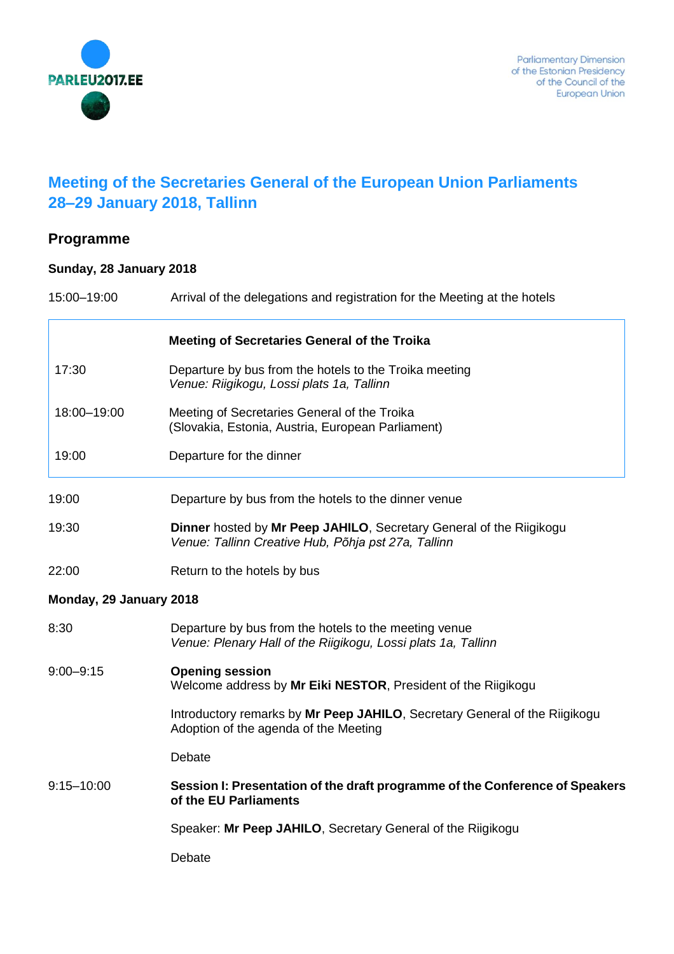

## **Meeting of the Secretaries General of the European Union Parliaments 28–29 January 2018, Tallinn**

## **Programme**

## **Sunday, 28 January 2018**

| 15:00-19:00             | Arrival of the delegations and registration for the Meeting at the hotels                                                  |
|-------------------------|----------------------------------------------------------------------------------------------------------------------------|
|                         | <b>Meeting of Secretaries General of the Troika</b>                                                                        |
| 17:30                   | Departure by bus from the hotels to the Troika meeting<br>Venue: Riigikogu, Lossi plats 1a, Tallinn                        |
| 18:00-19:00             | Meeting of Secretaries General of the Troika<br>(Slovakia, Estonia, Austria, European Parliament)                          |
| 19:00                   | Departure for the dinner                                                                                                   |
| 19:00                   | Departure by bus from the hotels to the dinner venue                                                                       |
| 19:30                   | Dinner hosted by Mr Peep JAHILO, Secretary General of the Riigikogu<br>Venue: Tallinn Creative Hub, Põhja pst 27a, Tallinn |
| 22:00                   | Return to the hotels by bus                                                                                                |
| Monday, 29 January 2018 |                                                                                                                            |
| 8:30                    | Departure by bus from the hotels to the meeting venue<br>Venue: Plenary Hall of the Riigikogu, Lossi plats 1a, Tallinn     |
| $9:00 - 9:15$           | <b>Opening session</b><br>Welcome address by Mr Eiki NESTOR, President of the Riigikogu                                    |
|                         | Introductory remarks by Mr Peep JAHILO, Secretary General of the Riigikogu<br>Adoption of the agenda of the Meeting        |
|                         | Debate                                                                                                                     |
| $9:15 - 10:00$          | Session I: Presentation of the draft programme of the Conference of Speakers<br>of the EU Parliaments                      |
|                         | Speaker: Mr Peep JAHILO, Secretary General of the Riigikogu                                                                |
|                         | Debate                                                                                                                     |